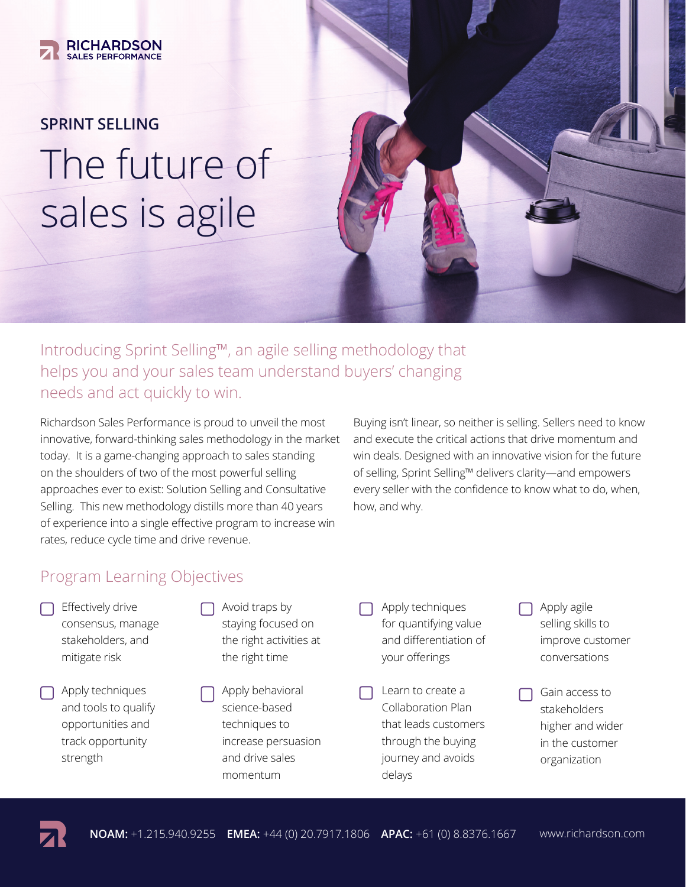

# **SPRINT SELLING** The future of sales is agile



Introducing Sprint Selling™, an agile selling methodology that helps you and your sales team understand buyers' changing needs and act quickly to win.

Richardson Sales Performance is proud to unveil the most innovative, forward-thinking sales methodology in the market today. It is a game-changing approach to sales standing on the shoulders of two of the most powerful selling approaches ever to exist: Solution Selling and Consultative Selling. This new methodology distills more than 40 years of experience into a single effective program to increase win rates, reduce cycle time and drive revenue.

Buying isn't linear, so neither is selling. Sellers need to know and execute the critical actions that drive momentum and win deals. Designed with an innovative vision for the future of selling, Sprint Selling™ delivers clarity—and empowers every seller with the confidence to know what to do, when, how, and why.

### Program Learning Objectives

- Effectively drive consensus, manage stakeholders, and mitigate risk
- Apply techniques and tools to qualify opportunities and track opportunity strength
- $\Box$  Avoid traps by staying focused on the right activities at the right time
	- Apply behavioral science-based techniques to increase persuasion and drive sales momentum
- Apply techniques for quantifying value and differentiation of your offerings
- Learn to create a Collaboration Plan that leads customers through the buying journey and avoids delays
- $\Box$  Apply agile selling skills to improve customer conversations
- Gain access to stakeholders higher and wider in the customer organization